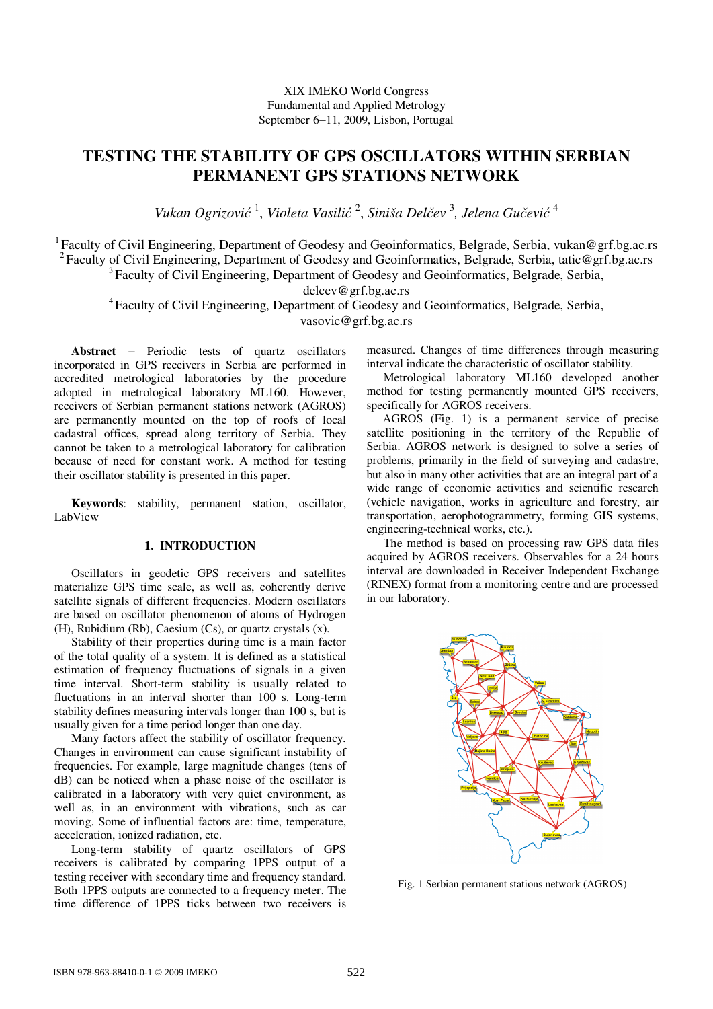### XIX IMEKO World Congress Fundamental and Applied Metrology September 6−11, 2009, Lisbon, Portugal

# **TESTING THE STABILITY OF GPS OSCILLATORS WITHIN SERBIAN PERMANENT GPS STATIONS NETWORK**

*Vukan Ogrizović* 1 , *Violeta Vasilić* 2 , *Siniša Delčev*  3 *, Jelena Gučević* 4

<sup>1</sup> Faculty of Civil Engineering, Department of Geodesy and Geoinformatics, Belgrade, Serbia, vukan@grf.bg.ac.rs <sup>2</sup>Faculty of Civil Engineering, Department of Geodesy and Geoinformatics, Belgrade, Serbia, tatic@grf.bg.ac.rs <sup>3</sup>Faculty of Civil Engineering, Department of Geodesy and Geoinformatics, Belgrade, Serbia,

delcev@grf.bg.ac.rs

<sup>4</sup>Faculty of Civil Engineering, Department of Geodesy and Geoinformatics, Belgrade, Serbia, vasovic@grf.bg.ac.rs

**Abstract** − Periodic tests of quartz oscillators incorporated in GPS receivers in Serbia are performed in accredited metrological laboratories by the procedure adopted in metrological laboratory ML160. However, receivers of Serbian permanent stations network (AGROS) are permanently mounted on the top of roofs of local cadastral offices, spread along territory of Serbia. They cannot be taken to a metrological laboratory for calibration because of need for constant work. A method for testing their oscillator stability is presented in this paper.

**Keywords**: stability, permanent station, oscillator, LabView

## **1. INTRODUCTION**

Oscillators in geodetic GPS receivers and satellites materialize GPS time scale, as well as, coherently derive satellite signals of different frequencies. Modern oscillators are based on oscillator phenomenon of atoms of Hydrogen (H), Rubidium (Rb), Caesium (Cs), or quartz crystals (x).

Stability of their properties during time is a main factor of the total quality of a system. It is defined as a statistical estimation of frequency fluctuations of signals in a given time interval. Short-term stability is usually related to fluctuations in an interval shorter than 100 s. Long-term stability defines measuring intervals longer than 100 s, but is usually given for a time period longer than one day.

Many factors affect the stability of oscillator frequency. Changes in environment can cause significant instability of frequencies. For example, large magnitude changes (tens of dB) can be noticed when a phase noise of the oscillator is calibrated in a laboratory with very quiet environment, as well as, in an environment with vibrations, such as car moving. Some of influential factors are: time, temperature, acceleration, ionized radiation, etc.

Long-term stability of quartz oscillators of GPS receivers is calibrated by comparing 1PPS output of a testing receiver with secondary time and frequency standard. Both 1PPS outputs are connected to a frequency meter. The time difference of 1PPS ticks between two receivers is

measured. Changes of time differences through measuring interval indicate the characteristic of oscillator stability.

Metrological laboratory ML160 developed another method for testing permanently mounted GPS receivers, specifically for AGROS receivers.

AGROS (Fig. 1) is a permanent service of precise satellite positioning in the territory of the Republic of Serbia. AGROS network is designed to solve a series of problems, primarily in the field of surveying and cadastre, but also in many other activities that are an integral part of a wide range of economic activities and scientific research (vehicle navigation, works in agriculture and forestry, air transportation, aerophotogrammetry, forming GIS systems, engineering-technical works, etc.).

The method is based on processing raw GPS data files acquired by AGROS receivers. Observables for a 24 hours interval are downloaded in Receiver Independent Exchange (RINEX) format from a monitoring centre and are processed in our laboratory.



Fig. 1 Serbian permanent stations network (AGROS)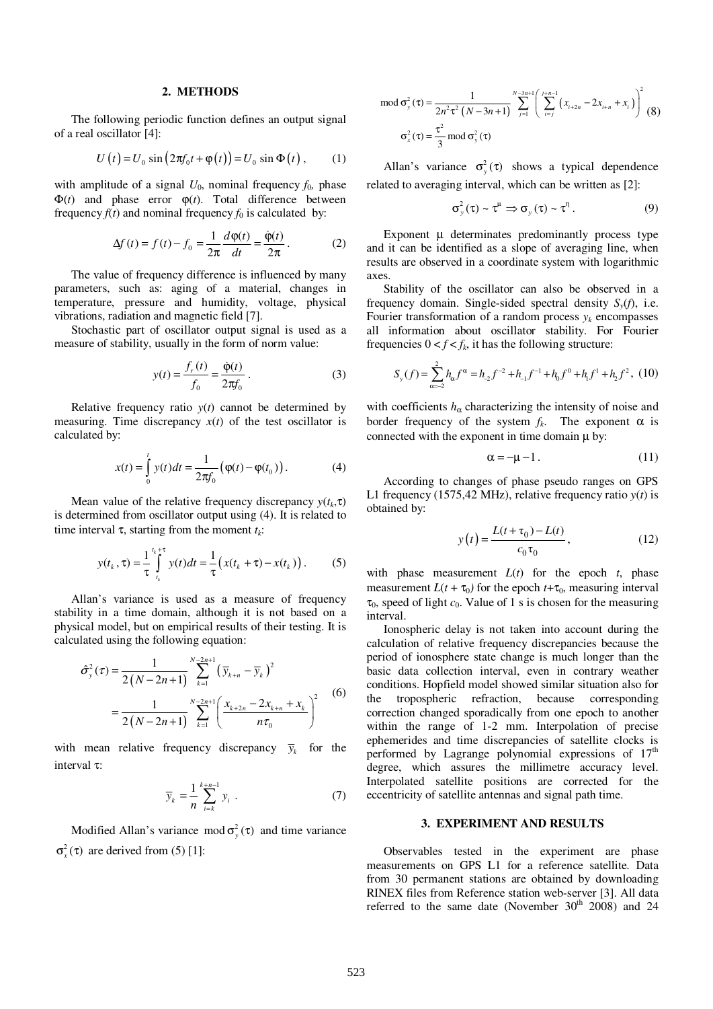#### **2. METHODS**

The following periodic function defines an output signal of a real oscillator [4]:

$$
U(t) = U_0 \sin(2\pi f_0 t + \varphi(t)) = U_0 \sin \Phi(t), \quad (1)
$$

with amplitude of a signal  $U_0$ , nominal frequency  $f_0$ , phase  $\Phi(t)$  and phase error  $\phi(t)$ . Total difference between frequency  $f(t)$  and nominal frequency  $f_0$  is calculated by:

$$
\Delta f(t) = f(t) - f_0 = \frac{1}{2\pi} \frac{d\varphi(t)}{dt} = \frac{\dot{\varphi}(t)}{2\pi}.
$$
 (2)

The value of frequency difference is influenced by many parameters, such as: aging of a material, changes in temperature, pressure and humidity, voltage, physical vibrations, radiation and magnetic field [7].

Stochastic part of oscillator output signal is used as a measure of stability, usually in the form of norm value:

$$
y(t) = \frac{f_r(t)}{f_0} = \frac{\dot{\phi}(t)}{2\pi f_0} \,. \tag{3}
$$

Relative frequency ratio *y*(*t*) cannot be determined by measuring. Time discrepancy  $x(t)$  of the test oscillator is calculated by:

$$
x(t) = \int_{0}^{t} y(t)dt = \frac{1}{2\pi f_0} (\varphi(t) - \varphi(t_0)).
$$
 (4)

Mean value of the relative frequency discrepancy  $y(t_k, \tau)$ is determined from oscillator output using (4). It is related to time interval τ, starting from the moment *t<sup>k</sup>* :

$$
y(t_k, \tau) = \frac{1}{\tau} \int_{t_k}^{t_k + \tau} y(t) dt = \frac{1}{\tau} \big( x(t_k + \tau) - x(t_k) \big). \tag{5}
$$

Allan's variance is used as a measure of frequency stability in a time domain, although it is not based on a physical model, but on empirical results of their testing. It is calculated using the following equation:

$$
\hat{\sigma}_{y}^{2}(\tau) = \frac{1}{2(N - 2n + 1)} \sum_{k=1}^{N-2n+1} (\bar{y}_{k+n} - \bar{y}_{k})^{2}
$$

$$
= \frac{1}{2(N - 2n + 1)} \sum_{k=1}^{N-2n+1} \left( \frac{x_{k+2n} - 2x_{k+n} + x_{k}}{n\tau_{0}} \right)^{2}
$$
(6)

with mean relative frequency discrepancy  $\bar{y}_k$  for the interval τ:

$$
\overline{y}_k = \frac{1}{n} \sum_{i=k}^{k+n-1} y_i \tag{7}
$$

Modified Allan's variance mod  $\sigma_y^2(\tau)$  and time variance  $\sigma_x^2(\tau)$  are derived from (5) [1]:

$$
\text{mod } \sigma_{y}^{2}(\tau) = \frac{1}{2n^{2}\tau^{2}(N-3n+1)} \sum_{j=1}^{N-3n+1} \left(\sum_{i=j}^{j+n-1} (x_{i+2n} - 2x_{i+n} + x_{i})\right)^{2} (8)
$$

$$
\sigma_{x}^{2}(\tau) = \frac{\tau^{2}}{3} \text{ mod } \sigma_{y}^{2}(\tau)
$$

Allan's variance  $\sigma_y^2(\tau)$  shows a typical dependence related to averaging interval, which can be written as [2]:

$$
\sigma_y^2(\tau) \sim \tau^{\mu} \Rightarrow \sigma_y(\tau) \sim \tau^{\eta}.
$$
 (9)

Exponent  $\mu$  determinates predominantly process type and it can be identified as a slope of averaging line, when results are observed in a coordinate system with logarithmic axes.

Stability of the oscillator can also be observed in a frequency domain. Single-sided spectral density  $S_y(f)$ , i.e. Fourier transformation of a random process  $y_k$  encompasses all information about oscillator stability. For Fourier frequencies  $0 < f < f_k$ , it has the following structure:

$$
S_y(f) = \sum_{\alpha=2}^{2} h_{\alpha} f^{\alpha} = h_{2} f^{-2} + h_{1} f^{-1} + h_{0} f^{0} + h_{1} f^{1} + h_{2} f^{2}, (10)
$$

with coefficients  $h_{\alpha}$  characterizing the intensity of noise and border frequency of the system  $f_k$ . The exponent  $\alpha$  is connected with the exponent in time domain  $\mu$  by:

$$
\alpha = -\mu - 1. \tag{11}
$$

According to changes of phase pseudo ranges on GPS L1 frequency (1575,42 MHz), relative frequency ratio  $y(t)$  is obtained by:

$$
y(t) = \frac{L(t + \tau_0) - L(t)}{c_0 \tau_0},
$$
\n(12)

with phase measurement  $L(t)$  for the epoch  $t$ , phase measurement  $L(t + \tau_0)$  for the epoch  $t + \tau_0$ , measuring interval  $\tau_0$ , speed of light  $c_0$ . Value of 1 s is chosen for the measuring interval.

Ionospheric delay is not taken into account during the calculation of relative frequency discrepancies because the period of ionosphere state change is much longer than the basic data collection interval, even in contrary weather conditions. Hopfield model showed similar situation also for the tropospheric refraction, because corresponding correction changed sporadically from one epoch to another within the range of 1-2 mm. Interpolation of precise ephemerides and time discrepancies of satellite clocks is performed by Lagrange polynomial expressions of  $17<sup>th</sup>$ degree, which assures the millimetre accuracy level. Interpolated satellite positions are corrected for the eccentricity of satellite antennas and signal path time.

#### **3. EXPERIMENT AND RESULTS**

Observables tested in the experiment are phase measurements on GPS L1 for a reference satellite. Data from 30 permanent stations are obtained by downloading RINEX files from Reference station web-server [3]. All data referred to the same date (November  $30<sup>th</sup>$  2008) and 24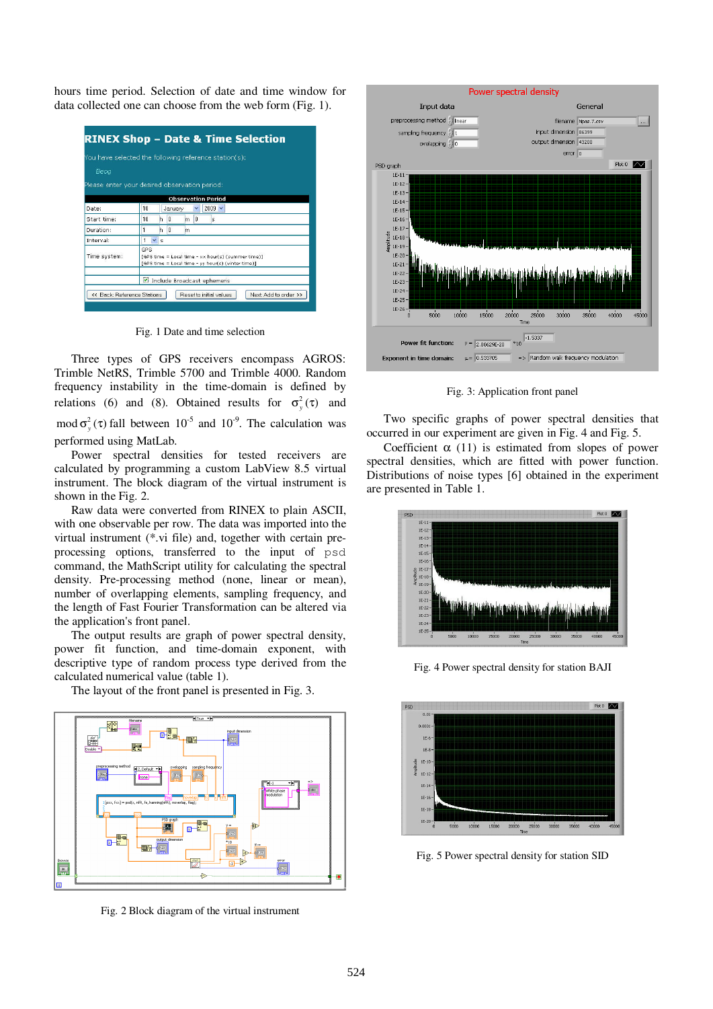hours time period. Selection of date and time window for data collected one can choose from the web form (Fig. 1).

|              | You have selected the following reference station(s):                                                            |  |  |
|--------------|------------------------------------------------------------------------------------------------------------------|--|--|
|              |                                                                                                                  |  |  |
| Beog         |                                                                                                                  |  |  |
|              | Please enter your desired observation period:                                                                    |  |  |
|              | <b>Observation Period</b>                                                                                        |  |  |
| Date:        | 10<br>$2009 \times$<br>v<br>January                                                                              |  |  |
| Start time:  | 10<br>$\mathbf{0}$<br>0<br>h<br>m<br>s                                                                           |  |  |
| Duration:    | 0<br>h<br>m                                                                                                      |  |  |
| Interval:    | v<br>$\mathsf{s}$                                                                                                |  |  |
| Time system: | GPS.<br>[GPS time = Local time - xx hour(s) (summer time)]<br>[GPS time = Local time - vy hour(s) (winter time)] |  |  |
|              | Include Broadcast ephemeris                                                                                      |  |  |

Fig. 1 Date and time selection

Three types of GPS receivers encompass AGROS: Trimble NetRS, Trimble 5700 and Trimble 4000. Random frequency instability in the time-domain is defined by relations (6) and (8). Obtained results for  $\sigma_y^2(\tau)$  and mod  $\sigma_y^2(\tau)$  fall between 10<sup>-5</sup> and 10<sup>-9</sup>. The calculation was performed using MatLab.

Power spectral densities for tested receivers are calculated by programming a custom LabView 8.5 virtual instrument. The block diagram of the virtual instrument is shown in the Fig. 2.

Raw data were converted from RINEX to plain ASCII, with one observable per row. The data was imported into the virtual instrument (\*.vi file) and, together with certain preprocessing options, transferred to the input of psd command, the MathScript utility for calculating the spectral density. Pre-processing method (none, linear or mean), number of overlapping elements, sampling frequency, and the length of Fast Fourier Transformation can be altered via the application's front panel.

The output results are graph of power spectral density, power fit function, and time-domain exponent, with descriptive type of random process type derived from the calculated numerical value (table 1).

The layout of the front panel is presented in Fig. 3.



Fig. 2 Block diagram of the virtual instrument



Fig. 3: Application front panel

Two specific graphs of power spectral densities that occurred in our experiment are given in Fig. 4 and Fig. 5.

Coefficient  $\alpha$  (11) is estimated from slopes of power spectral densities, which are fitted with power function. Distributions of noise types [6] obtained in the experiment are presented in Table 1.



Fig. 4 Power spectral density for station BAJI



Fig. 5 Power spectral density for station SID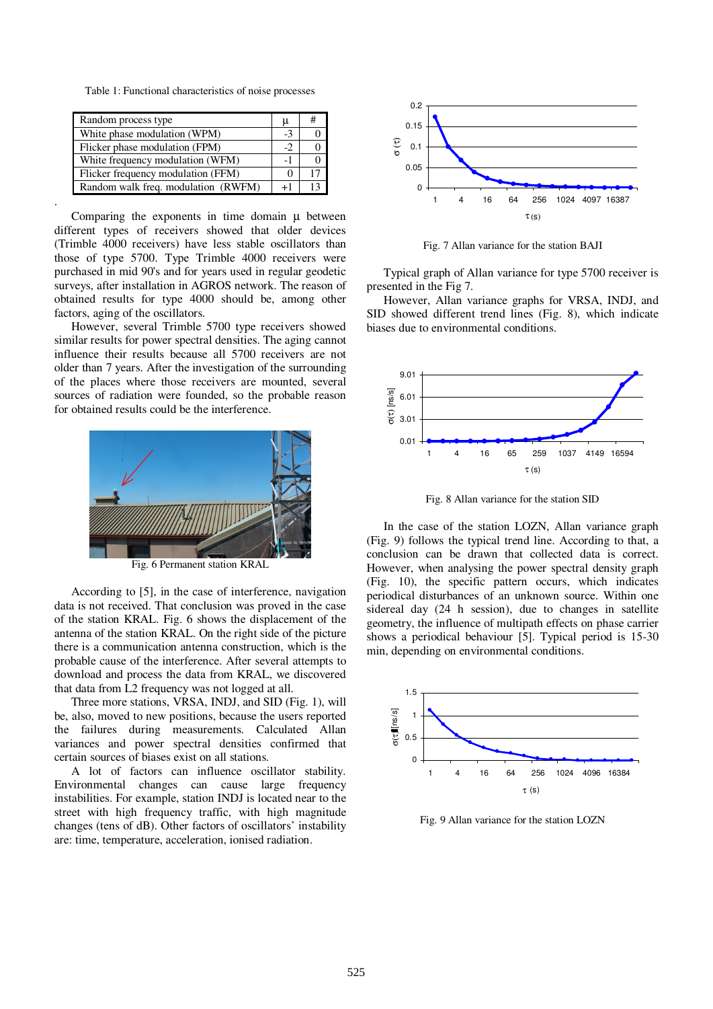Table 1: Functional characteristics of noise processes

| Random process type                 |  | # |
|-------------------------------------|--|---|
| White phase modulation (WPM)        |  |   |
| Flicker phase modulation (FPM)      |  |   |
| White frequency modulation (WFM)    |  |   |
| Flicker frequency modulation (FFM)  |  |   |
| Random walk freq. modulation (RWFM) |  |   |

.

Comparing the exponents in time domain  $\mu$  between different types of receivers showed that older devices (Trimble 4000 receivers) have less stable oscillators than those of type 5700. Type Trimble 4000 receivers were purchased in mid 90's and for years used in regular geodetic surveys, after installation in AGROS network. The reason of obtained results for type 4000 should be, among other factors, aging of the oscillators.

However, several Trimble 5700 type receivers showed similar results for power spectral densities. The aging cannot influence their results because all 5700 receivers are not older than 7 years. After the investigation of the surrounding of the places where those receivers are mounted, several sources of radiation were founded, so the probable reason for obtained results could be the interference.



According to [5], in the case of interference, navigation data is not received. That conclusion was proved in the case of the station KRAL. Fig. 6 shows the displacement of the antenna of the station KRAL. On the right side of the picture there is a communication antenna construction, which is the probable cause of the interference. After several attempts to download and process the data from KRAL, we discovered that data from L2 frequency was not logged at all.

Three more stations, VRSA, INDJ, and SID (Fig. 1), will be, also, moved to new positions, because the users reported the failures during measurements. Calculated Allan variances and power spectral densities confirmed that certain sources of biases exist on all stations.

A lot of factors can influence oscillator stability. Environmental changes can cause large frequency instabilities. For example, station INDJ is located near to the street with high frequency traffic, with high magnitude changes (tens of dB). Other factors of oscillators' instability are: time, temperature, acceleration, ionised radiation.



Fig. 7 Allan variance for the station BAJI

Typical graph of Allan variance for type 5700 receiver is presented in the Fig 7.

However, Allan variance graphs for VRSA, INDJ, and SID showed different trend lines (Fig. 8), which indicate biases due to environmental conditions.



Fig. 8 Allan variance for the station SID

In the case of the station LOZN, Allan variance graph (Fig. 9) follows the typical trend line. According to that, a conclusion can be drawn that collected data is correct. However, when analysing the power spectral density graph (Fig. 10), the specific pattern occurs, which indicates periodical disturbances of an unknown source. Within one sidereal day (24 h session), due to changes in satellite geometry, the influence of multipath effects on phase carrier shows a periodical behaviour [5]. Typical period is 15-30 min, depending on environmental conditions.



Fig. 9 Allan variance for the station LOZN